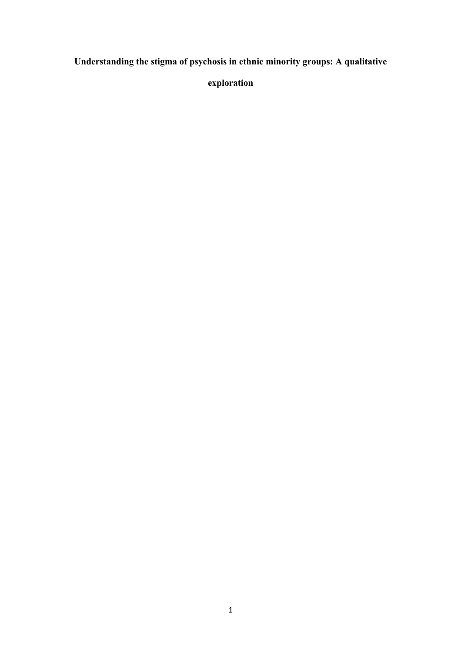**Understanding the stigma of psychosis in ethnic minority groups: A qualitative** 

**exploration**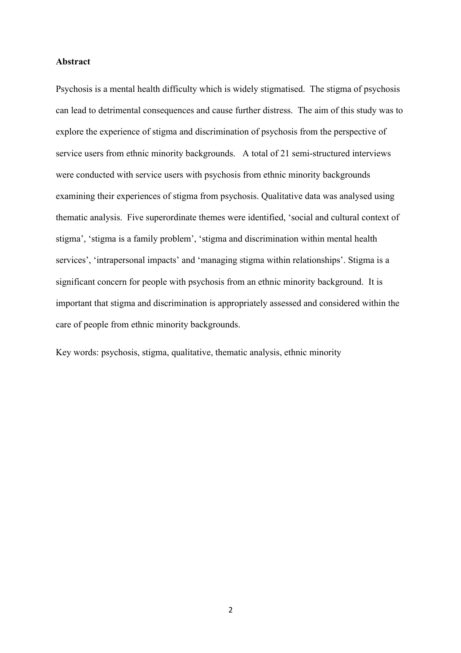#### **Abstract**

Psychosis is a mental health difficulty which is widely stigmatised. The stigma of psychosis can lead to detrimental consequences and cause further distress. The aim of this study was to explore the experience of stigma and discrimination of psychosis from the perspective of service users from ethnic minority backgrounds. A total of 21 semi-structured interviews were conducted with service users with psychosis from ethnic minority backgrounds examining their experiences of stigma from psychosis. Qualitative data was analysed using thematic analysis. Five superordinate themes were identified, 'social and cultural context of stigma', 'stigma is a family problem', 'stigma and discrimination within mental health services', 'intrapersonal impacts' and 'managing stigma within relationships'. Stigma is a significant concern for people with psychosis from an ethnic minority background. It is important that stigma and discrimination is appropriately assessed and considered within the care of people from ethnic minority backgrounds.

Key words: psychosis, stigma, qualitative, thematic analysis, ethnic minority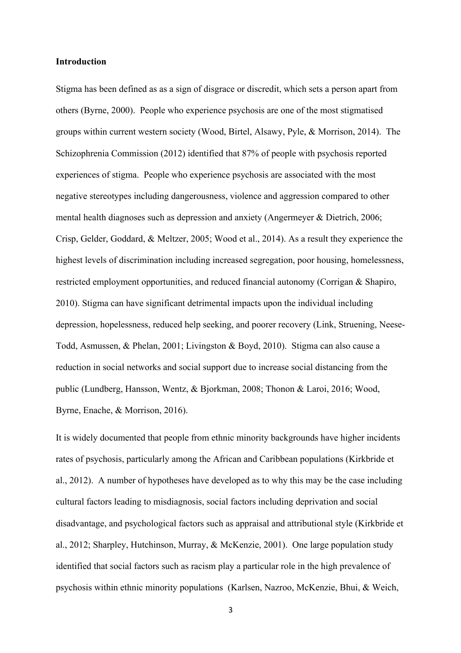#### **Introduction**

Stigma has been defined as as a sign of disgrace or discredit, which sets a person apart from others (Byrne, 2000). People who experience psychosis are one of the most stigmatised groups within current western society (Wood, Birtel, Alsawy, Pyle, & Morrison, 2014). The Schizophrenia Commission (2012) identified that 87% of people with psychosis reported experiences of stigma. People who experience psychosis are associated with the most negative stereotypes including dangerousness, violence and aggression compared to other mental health diagnoses such as depression and anxiety (Angermeyer & Dietrich, 2006; Crisp, Gelder, Goddard, & Meltzer, 2005; Wood et al., 2014). As a result they experience the highest levels of discrimination including increased segregation, poor housing, homelessness, restricted employment opportunities, and reduced financial autonomy (Corrigan & Shapiro, 2010). Stigma can have significant detrimental impacts upon the individual including depression, hopelessness, reduced help seeking, and poorer recovery (Link, Struening, Neese-Todd, Asmussen, & Phelan, 2001; Livingston & Boyd, 2010). Stigma can also cause a reduction in social networks and social support due to increase social distancing from the public (Lundberg, Hansson, Wentz, & Bjorkman, 2008; Thonon & Laroi, 2016; Wood, Byrne, Enache, & Morrison, 2016).

It is widely documented that people from ethnic minority backgrounds have higher incidents rates of psychosis, particularly among the African and Caribbean populations (Kirkbride et al., 2012). A number of hypotheses have developed as to why this may be the case including cultural factors leading to misdiagnosis, social factors including deprivation and social disadvantage, and psychological factors such as appraisal and attributional style (Kirkbride et al., 2012; Sharpley, Hutchinson, Murray, & McKenzie, 2001). One large population study identified that social factors such as racism play a particular role in the high prevalence of psychosis within ethnic minority populations (Karlsen, Nazroo, McKenzie, Bhui, & Weich,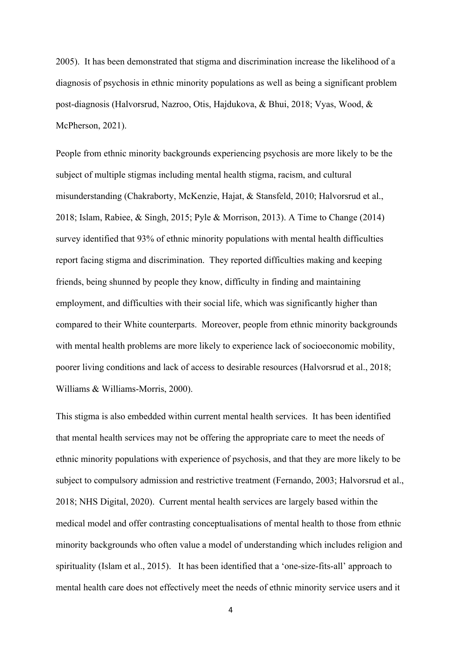2005). It has been demonstrated that stigma and discrimination increase the likelihood of a diagnosis of psychosis in ethnic minority populations as well as being a significant problem post-diagnosis (Halvorsrud, Nazroo, Otis, Hajdukova, & Bhui, 2018; Vyas, Wood, & McPherson, 2021).

People from ethnic minority backgrounds experiencing psychosis are more likely to be the subject of multiple stigmas including mental health stigma, racism, and cultural misunderstanding (Chakraborty, McKenzie, Hajat, & Stansfeld, 2010; Halvorsrud et al., 2018; Islam, Rabiee, & Singh, 2015; Pyle & Morrison, 2013). A Time to Change (2014) survey identified that 93% of ethnic minority populations with mental health difficulties report facing stigma and discrimination. They reported difficulties making and keeping friends, being shunned by people they know, difficulty in finding and maintaining employment, and difficulties with their social life, which was significantly higher than compared to their White counterparts. Moreover, people from ethnic minority backgrounds with mental health problems are more likely to experience lack of socioeconomic mobility, poorer living conditions and lack of access to desirable resources (Halvorsrud et al., 2018; Williams & Williams-Morris, 2000).

This stigma is also embedded within current mental health services. It has been identified that mental health services may not be offering the appropriate care to meet the needs of ethnic minority populations with experience of psychosis, and that they are more likely to be subject to compulsory admission and restrictive treatment (Fernando, 2003; Halvorsrud et al., 2018; NHS Digital, 2020). Current mental health services are largely based within the medical model and offer contrasting conceptualisations of mental health to those from ethnic minority backgrounds who often value a model of understanding which includes religion and spirituality (Islam et al., 2015). It has been identified that a 'one-size-fits-all' approach to mental health care does not effectively meet the needs of ethnic minority service users and it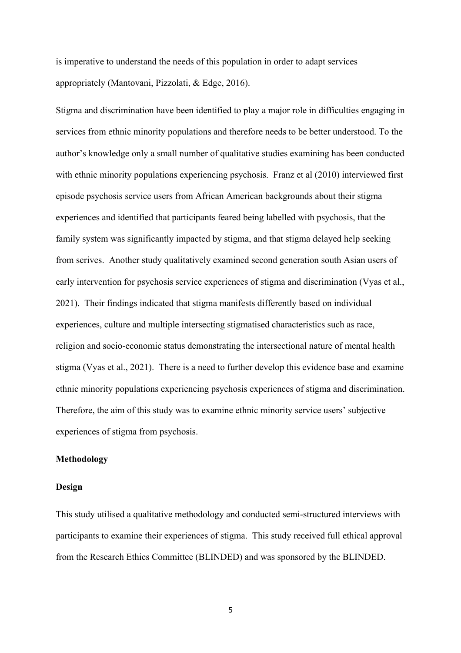is imperative to understand the needs of this population in order to adapt services appropriately (Mantovani, Pizzolati, & Edge, 2016).

Stigma and discrimination have been identified to play a major role in difficulties engaging in services from ethnic minority populations and therefore needs to be better understood. To the author's knowledge only a small number of qualitative studies examining has been conducted with ethnic minority populations experiencing psychosis. Franz et al (2010) interviewed first episode psychosis service users from African American backgrounds about their stigma experiences and identified that participants feared being labelled with psychosis, that the family system was significantly impacted by stigma, and that stigma delayed help seeking from serives. Another study qualitatively examined second generation south Asian users of early intervention for psychosis service experiences of stigma and discrimination (Vyas et al., 2021). Their findings indicated that stigma manifests differently based on individual experiences, culture and multiple intersecting stigmatised characteristics such as race, religion and socio-economic status demonstrating the intersectional nature of mental health stigma (Vyas et al., 2021). There is a need to further develop this evidence base and examine ethnic minority populations experiencing psychosis experiences of stigma and discrimination. Therefore, the aim of this study was to examine ethnic minority service users' subjective experiences of stigma from psychosis.

#### **Methodology**

#### **Design**

This study utilised a qualitative methodology and conducted semi-structured interviews with participants to examine their experiences of stigma. This study received full ethical approval from the Research Ethics Committee (BLINDED) and was sponsored by the BLINDED.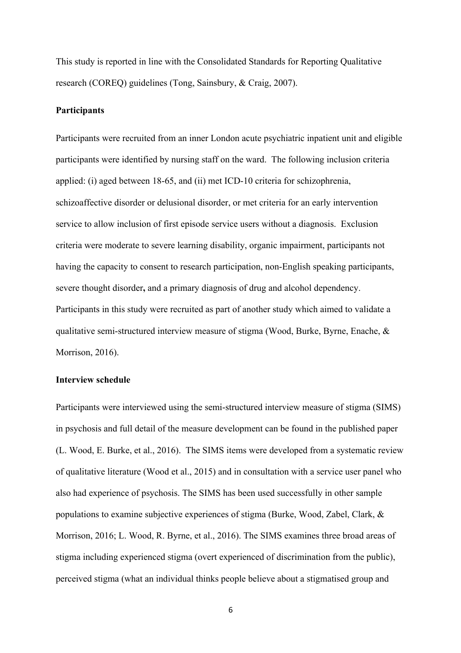This study is reported in line with the Consolidated Standards for Reporting Qualitative research (COREQ) guidelines (Tong, Sainsbury, & Craig, 2007).

#### **Participants**

Participants were recruited from an inner London acute psychiatric inpatient unit and eligible participants were identified by nursing staff on the ward. The following inclusion criteria applied: (i) aged between 18-65, and (ii) met ICD-10 criteria for schizophrenia, schizoaffective disorder or delusional disorder, or met criteria for an early intervention service to allow inclusion of first episode service users without a diagnosis. Exclusion criteria were moderate to severe learning disability, organic impairment, participants not having the capacity to consent to research participation, non-English speaking participants, severe thought disorder**,** and a primary diagnosis of drug and alcohol dependency. Participants in this study were recruited as part of another study which aimed to validate a qualitative semi-structured interview measure of stigma (Wood, Burke, Byrne, Enache, & Morrison, 2016).

#### **Interview schedule**

Participants were interviewed using the semi-structured interview measure of stigma (SIMS) in psychosis and full detail of the measure development can be found in the published paper (L. Wood, E. Burke, et al., 2016). The SIMS items were developed from a systematic review of qualitative literature (Wood et al., 2015) and in consultation with a service user panel who also had experience of psychosis. The SIMS has been used successfully in other sample populations to examine subjective experiences of stigma (Burke, Wood, Zabel, Clark, & Morrison, 2016; L. Wood, R. Byrne, et al., 2016). The SIMS examines three broad areas of stigma including experienced stigma (overt experienced of discrimination from the public), perceived stigma (what an individual thinks people believe about a stigmatised group and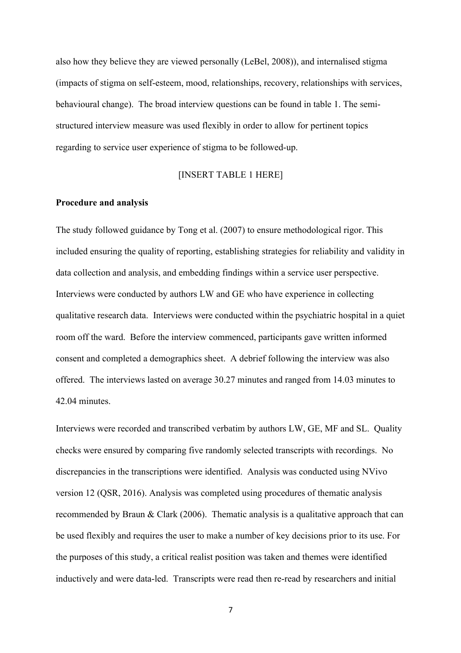also how they believe they are viewed personally (LeBel, 2008)), and internalised stigma (impacts of stigma on self-esteem, mood, relationships, recovery, relationships with services, behavioural change). The broad interview questions can be found in table 1. The semistructured interview measure was used flexibly in order to allow for pertinent topics regarding to service user experience of stigma to be followed-up.

## [INSERT TABLE 1 HERE]

#### **Procedure and analysis**

The study followed guidance by Tong et al. (2007) to ensure methodological rigor. This included ensuring the quality of reporting, establishing strategies for reliability and validity in data collection and analysis, and embedding findings within a service user perspective. Interviews were conducted by authors LW and GE who have experience in collecting qualitative research data. Interviews were conducted within the psychiatric hospital in a quiet room off the ward. Before the interview commenced, participants gave written informed consent and completed a demographics sheet. A debrief following the interview was also offered. The interviews lasted on average 30.27 minutes and ranged from 14.03 minutes to 42.04 minutes.

Interviews were recorded and transcribed verbatim by authors LW, GE, MF and SL. Quality checks were ensured by comparing five randomly selected transcripts with recordings. No discrepancies in the transcriptions were identified. Analysis was conducted using NVivo version 12 (QSR, 2016). Analysis was completed using procedures of thematic analysis recommended by Braun & Clark (2006). Thematic analysis is a qualitative approach that can be used flexibly and requires the user to make a number of key decisions prior to its use. For the purposes of this study, a critical realist position was taken and themes were identified inductively and were data-led. Transcripts were read then re-read by researchers and initial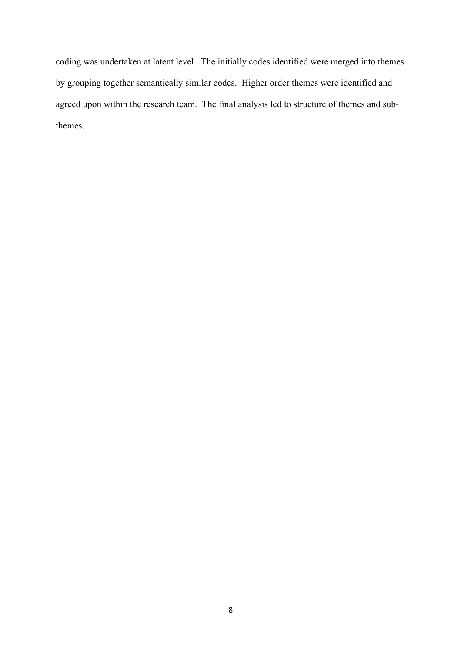coding was undertaken at latent level. The initially codes identified were merged into themes by grouping together semantically similar codes. Higher order themes were identified and agreed upon within the research team. The final analysis led to structure of themes and subthemes.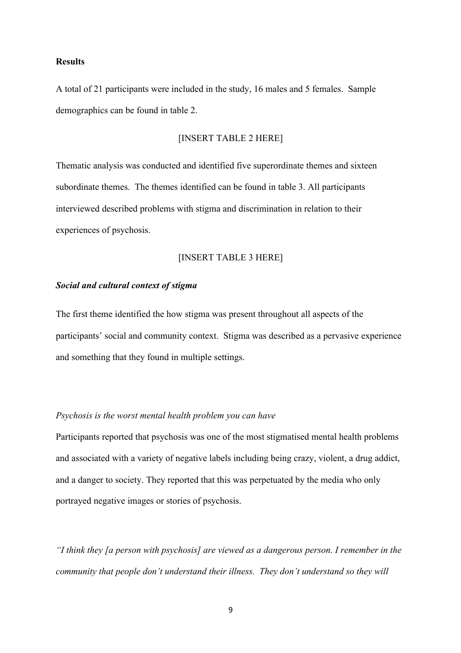#### **Results**

A total of 21 participants were included in the study, 16 males and 5 females. Sample demographics can be found in table 2.

#### [INSERT TABLE 2 HERE]

Thematic analysis was conducted and identified five superordinate themes and sixteen subordinate themes. The themes identified can be found in table 3. All participants interviewed described problems with stigma and discrimination in relation to their experiences of psychosis.

#### [INSERT TABLE 3 HERE]

#### *Social and cultural context of stigma*

The first theme identified the how stigma was present throughout all aspects of the participants' social and community context. Stigma was described as a pervasive experience and something that they found in multiple settings.

#### *Psychosis is the worst mental health problem you can have*

Participants reported that psychosis was one of the most stigmatised mental health problems and associated with a variety of negative labels including being crazy, violent, a drug addict, and a danger to society. They reported that this was perpetuated by the media who only portrayed negative images or stories of psychosis.

*"I think they [a person with psychosis] are viewed as a dangerous person. I remember in the community that people don't understand their illness. They don't understand so they will*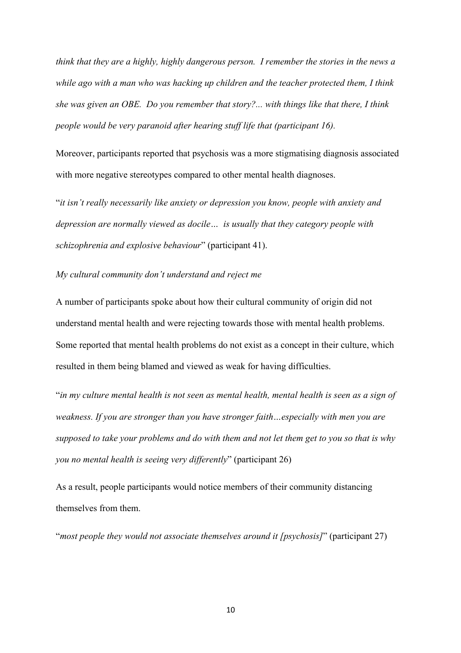*think that they are a highly, highly dangerous person. I remember the stories in the news a while ago with a man who was hacking up children and the teacher protected them, I think she was given an OBE. Do you remember that story?... with things like that there, I think people would be very paranoid after hearing stuff life that (participant 16).*

Moreover, participants reported that psychosis was a more stigmatising diagnosis associated with more negative stereotypes compared to other mental health diagnoses.

"*it isn't really necessarily like anxiety or depression you know, people with anxiety and depression are normally viewed as docile… is usually that they category people with schizophrenia and explosive behaviour*" (participant 41).

#### *My cultural community don't understand and reject me*

A number of participants spoke about how their cultural community of origin did not understand mental health and were rejecting towards those with mental health problems. Some reported that mental health problems do not exist as a concept in their culture, which resulted in them being blamed and viewed as weak for having difficulties.

"*in my culture mental health is not seen as mental health, mental health is seen as a sign of weakness. If you are stronger than you have stronger faith…especially with men you are supposed to take your problems and do with them and not let them get to you so that is why you no mental health is seeing very differently*" (participant 26)

As a result, people participants would notice members of their community distancing themselves from them.

"*most people they would not associate themselves around it [psychosis]*" (participant 27)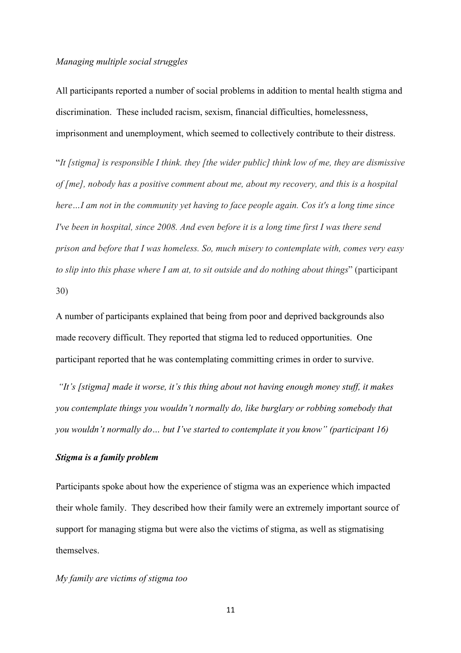#### *Managing multiple social struggles*

All participants reported a number of social problems in addition to mental health stigma and discrimination. These included racism, sexism, financial difficulties, homelessness, imprisonment and unemployment, which seemed to collectively contribute to their distress.

"*It [stigma] is responsible I think. they [the wider public] think low of me, they are dismissive of [me], nobody has a positive comment about me, about my recovery, and this is a hospital here…I am not in the community yet having to face people again. Cos it's a long time since I've been in hospital, since 2008. And even before it is a long time first I was there send prison and before that I was homeless. So, much misery to contemplate with, comes very easy to slip into this phase where I am at, to sit outside and do nothing about things*" (participant 30)

A number of participants explained that being from poor and deprived backgrounds also made recovery difficult. They reported that stigma led to reduced opportunities. One participant reported that he was contemplating committing crimes in order to survive.

*"It's [stigma] made it worse, it's this thing about not having enough money stuff, it makes you contemplate things you wouldn't normally do, like burglary or robbing somebody that you wouldn't normally do… but I've started to contemplate it you know" (participant 16)*

#### *Stigma is a family problem*

Participants spoke about how the experience of stigma was an experience which impacted their whole family. They described how their family were an extremely important source of support for managing stigma but were also the victims of stigma, as well as stigmatising themselves.

#### *My family are victims of stigma too*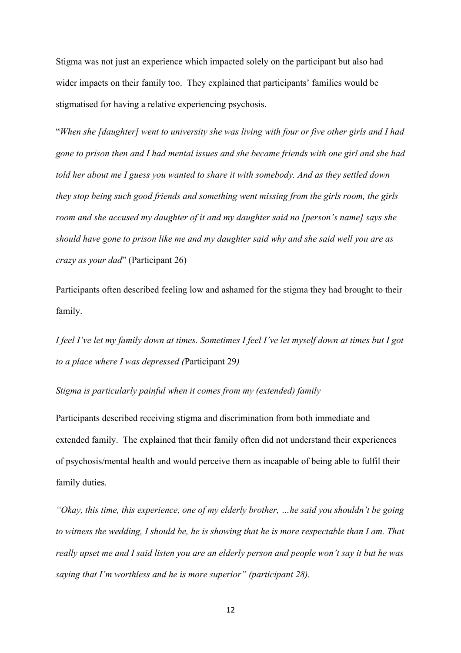Stigma was not just an experience which impacted solely on the participant but also had wider impacts on their family too. They explained that participants' families would be stigmatised for having a relative experiencing psychosis.

"*When she [daughter] went to university she was living with four or five other girls and I had gone to prison then and I had mental issues and she became friends with one girl and she had told her about me I guess you wanted to share it with somebody. And as they settled down they stop being such good friends and something went missing from the girls room, the girls room and she accused my daughter of it and my daughter said no [person's name] says she should have gone to prison like me and my daughter said why and she said well you are as crazy as your dad*" (Participant 26)

Participants often described feeling low and ashamed for the stigma they had brought to their family.

*I feel I've let my family down at times. Sometimes I feel I've let myself down at times but I got to a place where I was depressed (*Participant 29*)*

*Stigma is particularly painful when it comes from my (extended) family*

Participants described receiving stigma and discrimination from both immediate and extended family. The explained that their family often did not understand their experiences of psychosis/mental health and would perceive them as incapable of being able to fulfil their family duties.

*"Okay, this time, this experience, one of my elderly brother, …he said you shouldn't be going to witness the wedding, I should be, he is showing that he is more respectable than I am. That really upset me and I said listen you are an elderly person and people won't say it but he was saying that I'm worthless and he is more superior" (participant 28).*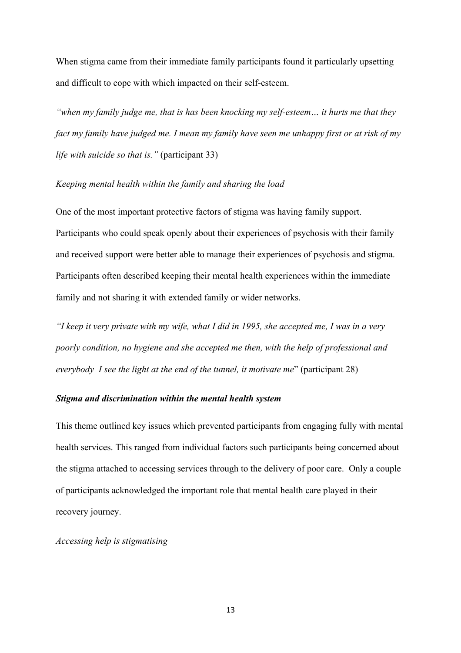When stigma came from their immediate family participants found it particularly upsetting and difficult to cope with which impacted on their self-esteem.

*"when my family judge me, that is has been knocking my self-esteem… it hurts me that they fact my family have judged me. I mean my family have seen me unhappy first or at risk of my life with suicide so that is."* (participant 33)

#### *Keeping mental health within the family and sharing the load*

One of the most important protective factors of stigma was having family support. Participants who could speak openly about their experiences of psychosis with their family and received support were better able to manage their experiences of psychosis and stigma. Participants often described keeping their mental health experiences within the immediate family and not sharing it with extended family or wider networks.

*"I keep it very private with my wife, what I did in 1995, she accepted me, I was in a very poorly condition, no hygiene and she accepted me then, with the help of professional and everybody I see the light at the end of the tunnel, it motivate me*" (participant 28)

#### *Stigma and discrimination within the mental health system*

This theme outlined key issues which prevented participants from engaging fully with mental health services. This ranged from individual factors such participants being concerned about the stigma attached to accessing services through to the delivery of poor care. Only a couple of participants acknowledged the important role that mental health care played in their recovery journey.

*Accessing help is stigmatising*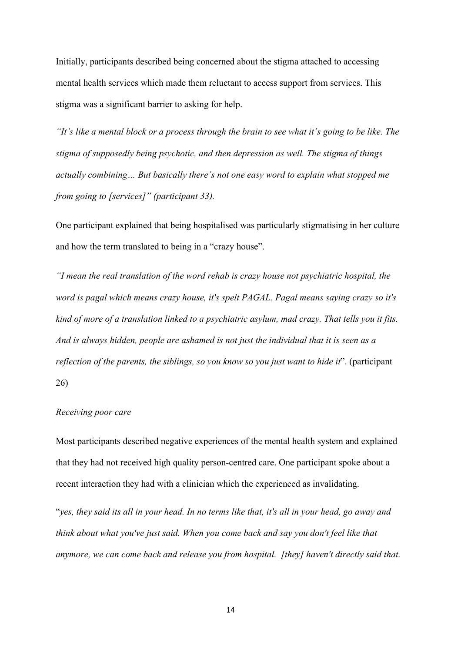Initially, participants described being concerned about the stigma attached to accessing mental health services which made them reluctant to access support from services. This stigma was a significant barrier to asking for help.

*"It's like a mental block or a process through the brain to see what it's going to be like. The stigma of supposedly being psychotic, and then depression as well. The stigma of things actually combining… But basically there's not one easy word to explain what stopped me from going to [services]" (participant 33).* 

One participant explained that being hospitalised was particularly stigmatising in her culture and how the term translated to being in a "crazy house".

*"I mean the real translation of the word rehab is crazy house not psychiatric hospital, the word is pagal which means crazy house, it's spelt PAGAL. Pagal means saying crazy so it's kind of more of a translation linked to a psychiatric asylum, mad crazy. That tells you it fits. And is always hidden, people are ashamed is not just the individual that it is seen as a reflection of the parents, the siblings, so you know so you just want to hide it*". (participant 26)

#### *Receiving poor care*

Most participants described negative experiences of the mental health system and explained that they had not received high quality person-centred care. One participant spoke about a recent interaction they had with a clinician which the experienced as invalidating.

"*yes, they said its all in your head. In no terms like that, it's all in your head, go away and think about what you've just said. When you come back and say you don't feel like that anymore, we can come back and release you from hospital. [they] haven't directly said that.*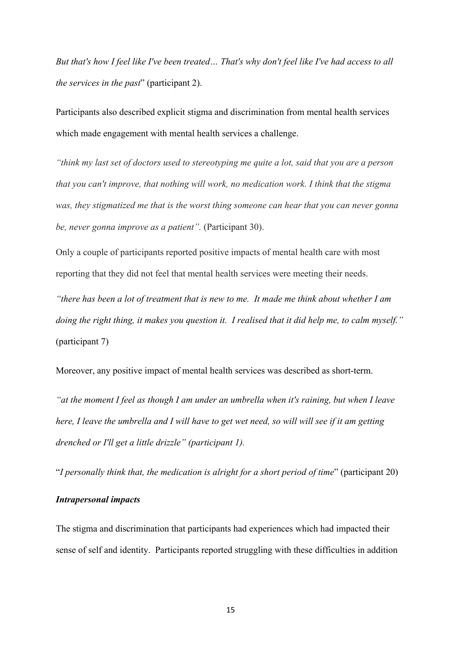*But that's how I feel like I've been treated… That's why don't feel like I've had access to all the services in the past*" (participant 2).

Participants also described explicit stigma and discrimination from mental health services which made engagement with mental health services a challenge.

*"think my last set of doctors used to stereotyping me quite a lot, said that you are a person that you can't improve, that nothing will work, no medication work. I think that the stigma was, they stigmatized me that is the worst thing someone can hear that you can never gonna be, never gonna improve as a patient".* (Participant 30).

Only a couple of participants reported positive impacts of mental health care with most reporting that they did not feel that mental health services were meeting their needs.

*"there has been a lot of treatment that is new to me. It made me think about whether I am doing the right thing, it makes you question it. I realised that it did help me, to calm myself."* (participant 7)

Moreover, any positive impact of mental health services was described as short-term.

*"at the moment I feel as though I am under an umbrella when it's raining, but when I leave here, I leave the umbrella and I will have to get wet need, so will will see if it am getting drenched or I'll get a little drizzle" (participant 1).*

"*I personally think that, the medication is alright for a short period of time*" (participant 20)

#### *Intrapersonal impacts*

The stigma and discrimination that participants had experiences which had impacted their sense of self and identity. Participants reported struggling with these difficulties in addition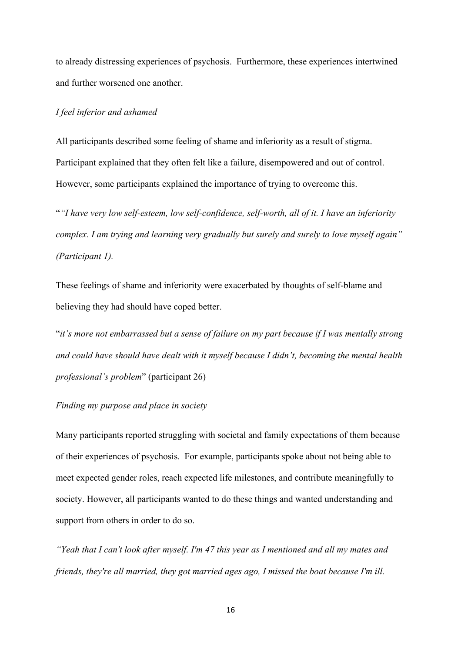to already distressing experiences of psychosis. Furthermore, these experiences intertwined and further worsened one another.

### *I feel inferior and ashamed*

All participants described some feeling of shame and inferiority as a result of stigma. Participant explained that they often felt like a failure, disempowered and out of control. However, some participants explained the importance of trying to overcome this.

"*"I have very low self-esteem, low self-confidence, self-worth, all of it. I have an inferiority complex. I am trying and learning very gradually but surely and surely to love myself again" (Participant 1).*

These feelings of shame and inferiority were exacerbated by thoughts of self-blame and believing they had should have coped better.

"*it's more not embarrassed but a sense of failure on my part because if I was mentally strong and could have should have dealt with it myself because I didn't, becoming the mental health professional's problem*" (participant 26)

## *Finding my purpose and place in society*

Many participants reported struggling with societal and family expectations of them because of their experiences of psychosis. For example, participants spoke about not being able to meet expected gender roles, reach expected life milestones, and contribute meaningfully to society. However, all participants wanted to do these things and wanted understanding and support from others in order to do so.

*"Yeah that I can't look after myself. I'm 47 this year as I mentioned and all my mates and friends, they're all married, they got married ages ago, I missed the boat because I'm ill.*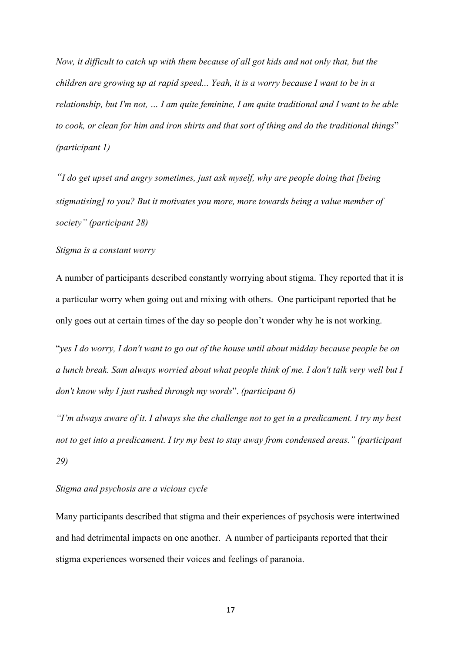*Now, it difficult to catch up with them because of all got kids and not only that, but the children are growing up at rapid speed... Yeah, it is a worry because I want to be in a relationship, but I'm not, … I am quite feminine, I am quite traditional and I want to be able to cook, or clean for him and iron shirts and that sort of thing and do the traditional things*" *(participant 1)*

*"I do get upset and angry sometimes, just ask myself, why are people doing that [being stigmatising] to you? But it motivates you more, more towards being a value member of society" (participant 28)*

#### *Stigma is a constant worry*

A number of participants described constantly worrying about stigma. They reported that it is a particular worry when going out and mixing with others. One participant reported that he only goes out at certain times of the day so people don't wonder why he is not working.

"*yes I do worry, I don't want to go out of the house until about midday because people be on a lunch break. Sam always worried about what people think of me. I don't talk very well but I don't know why I just rushed through my words*". *(participant 6)*

*"I'm always aware of it. I always she the challenge not to get in a predicament. I try my best not to get into a predicament. I try my best to stay away from condensed areas." (participant 29)*

## *Stigma and psychosis are a vicious cycle*

Many participants described that stigma and their experiences of psychosis were intertwined and had detrimental impacts on one another. A number of participants reported that their stigma experiences worsened their voices and feelings of paranoia.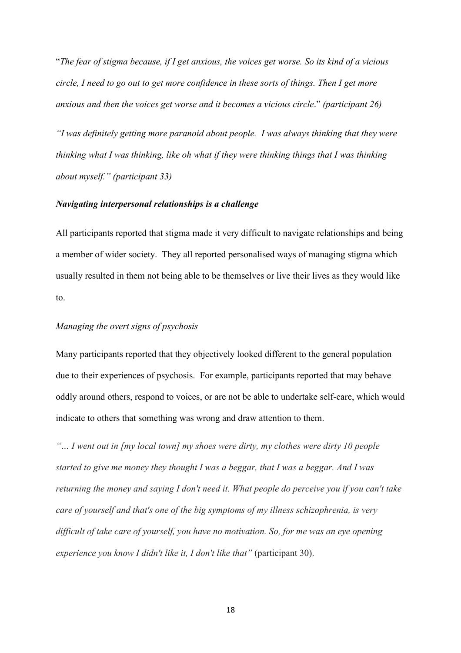"*The fear of stigma because, if I get anxious, the voices get worse. So its kind of a vicious circle, I need to go out to get more confidence in these sorts of things. Then I get more anxious and then the voices get worse and it becomes a vicious circle*." *(participant 26)*

*"I was definitely getting more paranoid about people. I was always thinking that they were thinking what I was thinking, like oh what if they were thinking things that I was thinking about myself." (participant 33)*

#### *Navigating interpersonal relationships is a challenge*

All participants reported that stigma made it very difficult to navigate relationships and being a member of wider society. They all reported personalised ways of managing stigma which usually resulted in them not being able to be themselves or live their lives as they would like to.

## *Managing the overt signs of psychosis*

Many participants reported that they objectively looked different to the general population due to their experiences of psychosis. For example, participants reported that may behave oddly around others, respond to voices, or are not be able to undertake self-care, which would indicate to others that something was wrong and draw attention to them.

*"… I went out in [my local town] my shoes were dirty, my clothes were dirty 10 people started to give me money they thought I was a beggar, that I was a beggar. And I was returning the money and saying I don't need it. What people do perceive you if you can't take care of yourself and that's one of the big symptoms of my illness schizophrenia, is very difficult of take care of yourself, you have no motivation. So, for me was an eye opening experience you know I didn't like it, I don't like that"* (participant 30).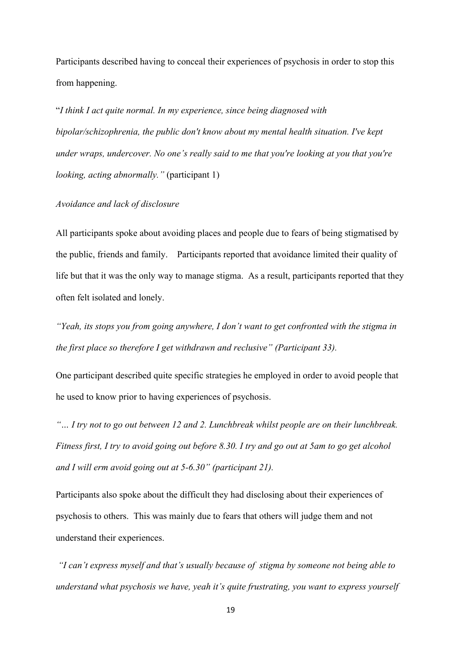Participants described having to conceal their experiences of psychosis in order to stop this from happening.

"*I think I act quite normal. In my experience, since being diagnosed with bipolar/schizophrenia, the public don't know about my mental health situation. I've kept under wraps, undercover. No one's really said to me that you're looking at you that you're looking, acting abnormally."* (participant 1)

#### *Avoidance and lack of disclosure*

All participants spoke about avoiding places and people due to fears of being stigmatised by the public, friends and family. Participants reported that avoidance limited their quality of life but that it was the only way to manage stigma. As a result, participants reported that they often felt isolated and lonely.

*"Yeah, its stops you from going anywhere, I don't want to get confronted with the stigma in the first place so therefore I get withdrawn and reclusive" (Participant 33).*

One participant described quite specific strategies he employed in order to avoid people that he used to know prior to having experiences of psychosis.

*"… I try not to go out between 12 and 2. Lunchbreak whilst people are on their lunchbreak. Fitness first, I try to avoid going out before 8.30. I try and go out at 5am to go get alcohol and I will erm avoid going out at 5-6.30" (participant 21).*

Participants also spoke about the difficult they had disclosing about their experiences of psychosis to others. This was mainly due to fears that others will judge them and not understand their experiences.

*"I can't express myself and that's usually because of stigma by someone not being able to understand what psychosis we have, yeah it's quite frustrating, you want to express yourself*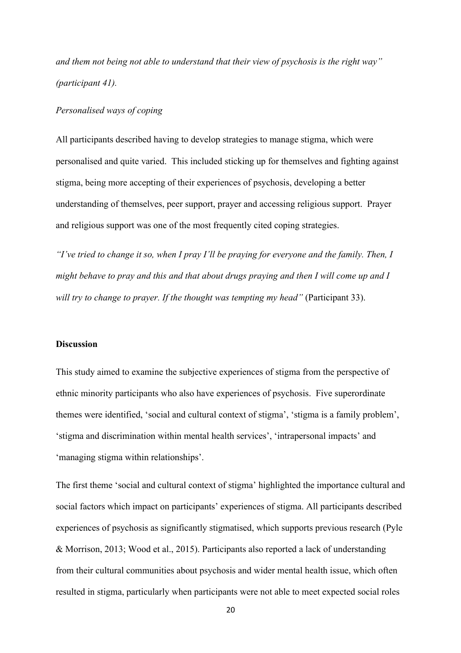*and them not being not able to understand that their view of psychosis is the right way" (participant 41).*

#### *Personalised ways of coping*

All participants described having to develop strategies to manage stigma, which were personalised and quite varied. This included sticking up for themselves and fighting against stigma, being more accepting of their experiences of psychosis, developing a better understanding of themselves, peer support, prayer and accessing religious support. Prayer and religious support was one of the most frequently cited coping strategies.

*"I've tried to change it so, when I pray I'll be praying for everyone and the family. Then, I might behave to pray and this and that about drugs praying and then I will come up and I will try to change to prayer. If the thought was tempting my head"* (Participant 33).

#### **Discussion**

This study aimed to examine the subjective experiences of stigma from the perspective of ethnic minority participants who also have experiences of psychosis. Five superordinate themes were identified, 'social and cultural context of stigma', 'stigma is a family problem', 'stigma and discrimination within mental health services', 'intrapersonal impacts' and 'managing stigma within relationships'.

The first theme 'social and cultural context of stigma' highlighted the importance cultural and social factors which impact on participants' experiences of stigma. All participants described experiences of psychosis as significantly stigmatised, which supports previous research (Pyle & Morrison, 2013; Wood et al., 2015). Participants also reported a lack of understanding from their cultural communities about psychosis and wider mental health issue, which often resulted in stigma, particularly when participants were not able to meet expected social roles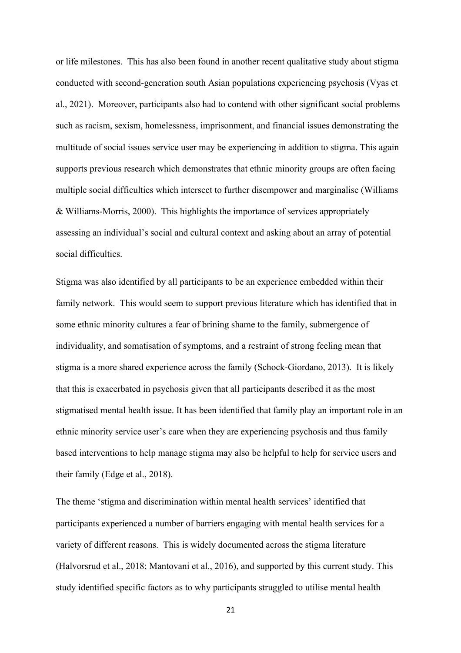or life milestones. This has also been found in another recent qualitative study about stigma conducted with second-generation south Asian populations experiencing psychosis (Vyas et al., 2021). Moreover, participants also had to contend with other significant social problems such as racism, sexism, homelessness, imprisonment, and financial issues demonstrating the multitude of social issues service user may be experiencing in addition to stigma. This again supports previous research which demonstrates that ethnic minority groups are often facing multiple social difficulties which intersect to further disempower and marginalise (Williams & Williams-Morris, 2000). This highlights the importance of services appropriately assessing an individual's social and cultural context and asking about an array of potential social difficulties.

Stigma was also identified by all participants to be an experience embedded within their family network. This would seem to support previous literature which has identified that in some ethnic minority cultures a fear of brining shame to the family, submergence of individuality, and somatisation of symptoms, and a restraint of strong feeling mean that stigma is a more shared experience across the family (Schock-Giordano, 2013). It is likely that this is exacerbated in psychosis given that all participants described it as the most stigmatised mental health issue. It has been identified that family play an important role in an ethnic minority service user's care when they are experiencing psychosis and thus family based interventions to help manage stigma may also be helpful to help for service users and their family (Edge et al., 2018).

The theme 'stigma and discrimination within mental health services' identified that participants experienced a number of barriers engaging with mental health services for a variety of different reasons. This is widely documented across the stigma literature (Halvorsrud et al., 2018; Mantovani et al., 2016), and supported by this current study. This study identified specific factors as to why participants struggled to utilise mental health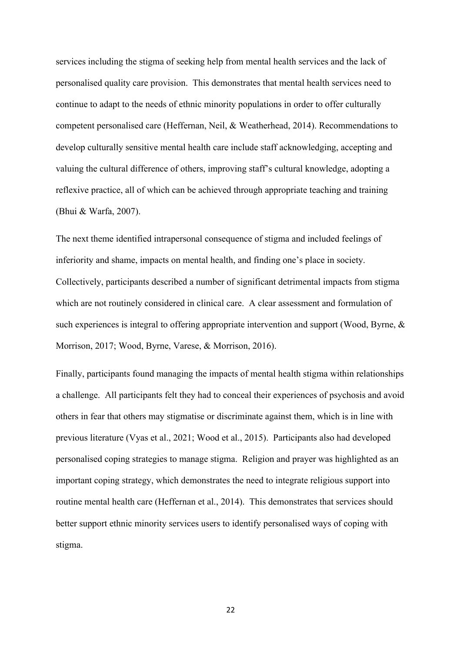services including the stigma of seeking help from mental health services and the lack of personalised quality care provision. This demonstrates that mental health services need to continue to adapt to the needs of ethnic minority populations in order to offer culturally competent personalised care (Heffernan, Neil, & Weatherhead, 2014). Recommendations to develop culturally sensitive mental health care include staff acknowledging, accepting and valuing the cultural difference of others, improving staff's cultural knowledge, adopting a reflexive practice, all of which can be achieved through appropriate teaching and training (Bhui & Warfa, 2007).

The next theme identified intrapersonal consequence of stigma and included feelings of inferiority and shame, impacts on mental health, and finding one's place in society. Collectively, participants described a number of significant detrimental impacts from stigma which are not routinely considered in clinical care. A clear assessment and formulation of such experiences is integral to offering appropriate intervention and support (Wood, Byrne, & Morrison, 2017; Wood, Byrne, Varese, & Morrison, 2016).

Finally, participants found managing the impacts of mental health stigma within relationships a challenge. All participants felt they had to conceal their experiences of psychosis and avoid others in fear that others may stigmatise or discriminate against them, which is in line with previous literature (Vyas et al., 2021; Wood et al., 2015). Participants also had developed personalised coping strategies to manage stigma. Religion and prayer was highlighted as an important coping strategy, which demonstrates the need to integrate religious support into routine mental health care (Heffernan et al., 2014). This demonstrates that services should better support ethnic minority services users to identify personalised ways of coping with stigma.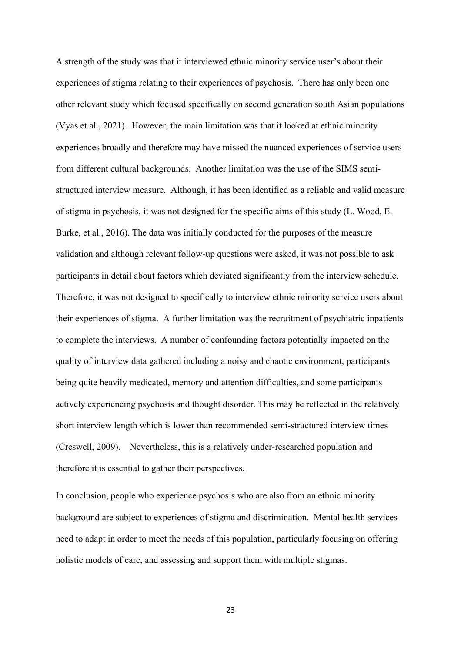A strength of the study was that it interviewed ethnic minority service user's about their experiences of stigma relating to their experiences of psychosis. There has only been one other relevant study which focused specifically on second generation south Asian populations (Vyas et al., 2021). However, the main limitation was that it looked at ethnic minority experiences broadly and therefore may have missed the nuanced experiences of service users from different cultural backgrounds. Another limitation was the use of the SIMS semistructured interview measure. Although, it has been identified as a reliable and valid measure of stigma in psychosis, it was not designed for the specific aims of this study (L. Wood, E. Burke, et al., 2016). The data was initially conducted for the purposes of the measure validation and although relevant follow-up questions were asked, it was not possible to ask participants in detail about factors which deviated significantly from the interview schedule. Therefore, it was not designed to specifically to interview ethnic minority service users about their experiences of stigma. A further limitation was the recruitment of psychiatric inpatients to complete the interviews. A number of confounding factors potentially impacted on the quality of interview data gathered including a noisy and chaotic environment, participants being quite heavily medicated, memory and attention difficulties, and some participants actively experiencing psychosis and thought disorder. This may be reflected in the relatively short interview length which is lower than recommended semi-structured interview times (Creswell, 2009). Nevertheless, this is a relatively under-researched population and therefore it is essential to gather their perspectives.

In conclusion, people who experience psychosis who are also from an ethnic minority background are subject to experiences of stigma and discrimination. Mental health services need to adapt in order to meet the needs of this population, particularly focusing on offering holistic models of care, and assessing and support them with multiple stigmas.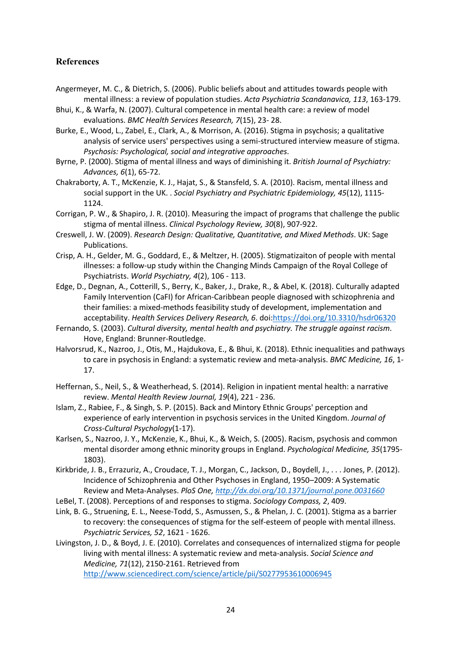## **References**

- Angermeyer, M. C., & Dietrich, S. (2006). Public beliefs about and attitudes towards people with mental illness: a review of population studies. *Acta Psychiatria Scandanavica, 113*, 163-179.
- Bhui, K., & Warfa, N. (2007). Cultural competence in mental health care: a review of model evaluations. *BMC Health Services Research, 7*(15), 23- 28.
- Burke, E., Wood, L., Zabel, E., Clark, A., & Morrison, A. (2016). Stigma in psychosis; a qualitative analysis of service users' perspectives using a semi-structured interview measure of stigma. *Psychosis: Psychological, social and integrative approaches*.
- Byrne, P. (2000). Stigma of mental illness and ways of diminishing it. *British Journal of Psychiatry: Advances, 6*(1), 65-72.
- Chakraborty, A. T., McKenzie, K. J., Hajat, S., & Stansfeld, S. A. (2010). Racism, mental illness and social support in the UK. . *Social Psychiatry and Psychiatric Epidemiology, 45*(12), 1115- 1124.
- Corrigan, P. W., & Shapiro, J. R. (2010). Measuring the impact of programs that challenge the public stigma of mental illness. *Clinical Psychology Review, 30*(8), 907-922.
- Creswell, J. W. (2009). *Research Design: Qualitative, Quantitative, and Mixed Methods*. UK: Sage Publications.
- Crisp, A. H., Gelder, M. G., Goddard, E., & Meltzer, H. (2005). Stigmatizaiton of people with mental illnesses: a follow-up study within the Changing Minds Campaign of the Royal College of Psychiatrists. *World Psychiatry, 4*(2), 106 - 113.
- Edge, D., Degnan, A., Cotterill, S., Berry, K., Baker, J., Drake, R., & Abel, K. (2018). Culturally adapted Family Intervention (CaFI) for African-Caribbean people diagnosed with schizophrenia and their families: a mixed-methods feasibility study of development, implementation and acceptability. *Health Services Delivery Research, 6*. doi:https://doi.org/10.3310/hsdr06320
- Fernando, S. (2003). *Cultural diversity, mental health and psychiatry. The struggle against racism*. Hove, England: Brunner-Routledge.
- Halvorsrud, K., Nazroo, J., Otis, M., Hajdukova, E., & Bhui, K. (2018). Ethnic inequalities and pathways to care in psychosis in England: a systematic review and meta-analysis. *BMC Medicine, 16*, 1- 17.
- Heffernan, S., Neil, S., & Weatherhead, S. (2014). Religion in inpatient mental health: a narrative review. *Mental Health Review Journal, 19*(4), 221 - 236.
- Islam, Z., Rabiee, F., & Singh, S. P. (2015). Back and Mintory Ethnic Groups' perception and experience of early intervention in psychosis services in the United Kingdom. *Journal of Cross-Cultural Psychology*(1-17).
- Karlsen, S., Nazroo, J. Y., McKenzie, K., Bhui, K., & Weich, S. (2005). Racism, psychosis and common mental disorder among ethnic minority groups in England. *Psychological Medicine, 35*(1795- 1803).
- Kirkbride, J. B., Errazuriz, A., Croudace, T. J., Morgan, C., Jackson, D., Boydell, J., . . . Jones, P. (2012). Incidence of Schizophrenia and Other Psychoses in England, 1950–2009: A Systematic Review and Meta-Analyses. *PloS One, http://dx.doi.org/10.1371/journal.pone.0031660*
- LeBel, T. (2008). Perceptions of and responses to stigma. *Sociology Compass, 2*, 409.
- Link, B. G., Struening, E. L., Neese-Todd, S., Asmussen, S., & Phelan, J. C. (2001). Stigma as a barrier to recovery: the consequences of stigma for the self-esteem of people with mental illness. *Psychiatric Services, 52*, 1621 - 1626.
- Livingston, J. D., & Boyd, J. E. (2010). Correlates and consequences of internalized stigma for people living with mental illness: A systematic review and meta-analysis. *Social Science and Medicine, 71*(12), 2150-2161. Retrieved from http://www.sciencedirect.com/science/article/pii/S0277953610006945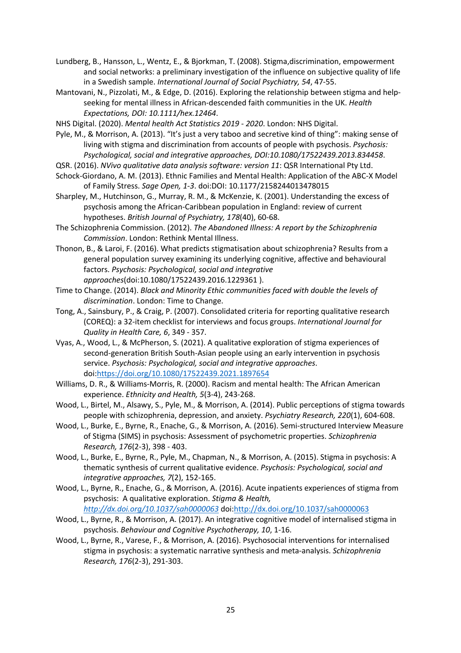- Lundberg, B., Hansson, L., Wentz, E., & Bjorkman, T. (2008). Stigma,discrimination, empowerment and social networks: a preliminary investigation of the influence on subjective quality of life in a Swedish sample. *International Journal of Social Psychiatry, 54*, 47-55.
- Mantovani, N., Pizzolati, M., & Edge, D. (2016). Exploring the relationship between stigma and helpseeking for mental illness in African-descended faith communities in the UK. *Health Expectations, DOI: 10.1111/hex.12464*.

NHS Digital. (2020). *Mental health Act Statistics 2019 - 2020*. London: NHS Digital.

- Pyle, M., & Morrison, A. (2013). "It's just a very taboo and secretive kind of thing": making sense of living with stigma and discrimination from accounts of people with psychosis. *Psychosis: Psychological, social and integrative approaches, DOI:10.1080/17522439.2013.834458*.
- QSR. (2016). *NVivo qualitative data analysis software: version 11*: QSR International Pty Ltd.
- Schock-Giordano, A. M. (2013). Ethnic Families and Mental Health: Application of the ABC-X Model of Family Stress. *Sage Open, 1-3*. doi:DOI: 10.1177/2158244013478015
- Sharpley, M., Hutchinson, G., Murray, R. M., & McKenzie, K. (2001). Understanding the excess of psychosis among the African-Caribbean population in England: review of current hypotheses. *British Journal of Psychiatry, 178*(40), 60-68.
- The Schizophrenia Commission. (2012). *The Abandoned Illness: A report by the Schizophrenia Commission*. London: Rethink Mental Illness.
- Thonon, B., & Laroi, F. (2016). What predicts stigmatisation about schizophrenia? Results from a general population survey examining its underlying cognitive, affective and behavioural factors. *Psychosis: Psychological, social and integrative approaches*(doi:10.1080/17522439.2016.1229361 ).
- Time to Change. (2014). *Black and Minority Ethic communities faced with double the levels of discrimination*. London: Time to Change.
- Tong, A., Sainsbury, P., & Craig, P. (2007). Consolidated criteria for reporting qualitative research (COREQ): a 32-item checklist for interviews and focus groups. *International Journal for Quality in Health Care, 6*, 349 - 357.
- Vyas, A., Wood, L., & McPherson, S. (2021). A qualitative exploration of stigma experiences of second-generation British South-Asian people using an early intervention in psychosis service. *Psychosis: Psychological, social and integrative approaches*. doi:https://doi.org/10.1080/17522439.2021.1897654
- Williams, D. R., & Williams-Morris, R. (2000). Racism and mental health: The African American experience. *Ethnicity and Health, 5*(3-4), 243-268.
- Wood, L., Birtel, M., Alsawy, S., Pyle, M., & Morrison, A. (2014). Public perceptions of stigma towards people with schizophrenia, depression, and anxiety. *Psychiatry Research, 220*(1), 604-608.
- Wood, L., Burke, E., Byrne, R., Enache, G., & Morrison, A. (2016). Semi-structured Interview Measure of Stigma (SIMS) in psychosis: Assessment of psychometric properties. *Schizophrenia Research, 176*(2-3), 398 - 403.
- Wood, L., Burke, E., Byrne, R., Pyle, M., Chapman, N., & Morrison, A. (2015). Stigma in psychosis: A thematic synthesis of current qualitative evidence. *Psychosis: Psychological, social and integrative approaches, 7*(2), 152-165.
- Wood, L., Byrne, R., Enache, G., & Morrison, A. (2016). Acute inpatients experiences of stigma from psychosis: A qualitative exploration. *Stigma & Health, http://dx.doi.org/10.1037/sah0000063* doi:http://dx.doi.org/10.1037/sah0000063
- Wood, L., Byrne, R., & Morrison, A. (2017). An integrative cognitive model of internalised stigma in psychosis. *Behaviour and Cognitive Psychotherapy, 10*, 1-16.
- Wood, L., Byrne, R., Varese, F., & Morrison, A. (2016). Psychosocial interventions for internalised stigma in psychosis: a systematic narrative synthesis and meta-analysis. *Schizophrenia Research, 176*(2-3), 291-303.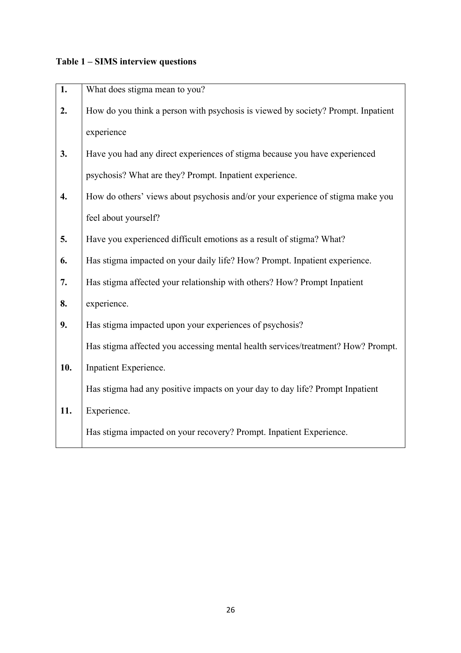# **Table 1 – SIMS interview questions**

| 1.  | What does stigma mean to you?                                                    |
|-----|----------------------------------------------------------------------------------|
| 2.  | How do you think a person with psychosis is viewed by society? Prompt. Inpatient |
|     | experience                                                                       |
| 3.  | Have you had any direct experiences of stigma because you have experienced       |
|     | psychosis? What are they? Prompt. Inpatient experience.                          |
| 4.  | How do others' views about psychosis and/or your experience of stigma make you   |
|     | feel about yourself?                                                             |
| 5.  | Have you experienced difficult emotions as a result of stigma? What?             |
| 6.  | Has stigma impacted on your daily life? How? Prompt. Inpatient experience.       |
| 7.  | Has stigma affected your relationship with others? How? Prompt Inpatient         |
| 8.  | experience.                                                                      |
| 9.  | Has stigma impacted upon your experiences of psychosis?                          |
|     | Has stigma affected you accessing mental health services/treatment? How? Prompt. |
| 10. | Inpatient Experience.                                                            |
|     | Has stigma had any positive impacts on your day to day life? Prompt Inpatient    |
| 11. | Experience.                                                                      |
|     | Has stigma impacted on your recovery? Prompt. Inpatient Experience.              |
|     |                                                                                  |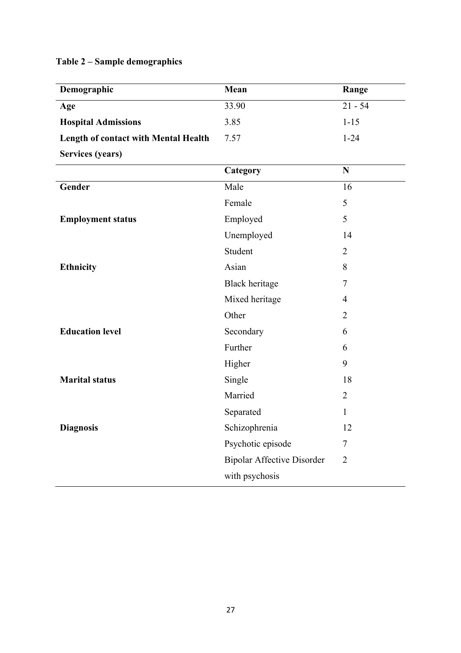# **Table 2 – Sample demographics**

| Demographic                                 | Mean                              | Range          |
|---------------------------------------------|-----------------------------------|----------------|
| Age                                         | 33.90                             | $21 - 54$      |
| <b>Hospital Admissions</b>                  | 3.85                              | $1 - 15$       |
| <b>Length of contact with Mental Health</b> | 7.57                              | $1 - 24$       |
| <b>Services (years)</b>                     |                                   |                |
|                                             | Category                          | $\mathbf N$    |
| Gender                                      | Male                              | 16             |
|                                             | Female                            | 5              |
| <b>Employment status</b>                    | Employed                          | 5              |
|                                             | Unemployed                        | 14             |
|                                             | Student                           | $\overline{2}$ |
| <b>Ethnicity</b>                            | Asian                             | 8              |
|                                             | <b>Black heritage</b>             | $\tau$         |
|                                             | Mixed heritage                    | $\overline{4}$ |
|                                             | Other                             | $\overline{2}$ |
| <b>Education level</b>                      | Secondary                         | 6              |
|                                             | Further                           | 6              |
|                                             | Higher                            | 9              |
| <b>Marital status</b>                       | Single                            | 18             |
|                                             | Married                           | $\overline{2}$ |
|                                             | Separated                         | $\mathbf{1}$   |
| <b>Diagnosis</b>                            | Schizophrenia                     | 12             |
|                                             | Psychotic episode                 | $\tau$         |
|                                             | <b>Bipolar Affective Disorder</b> | $\overline{2}$ |
|                                             | with psychosis                    |                |